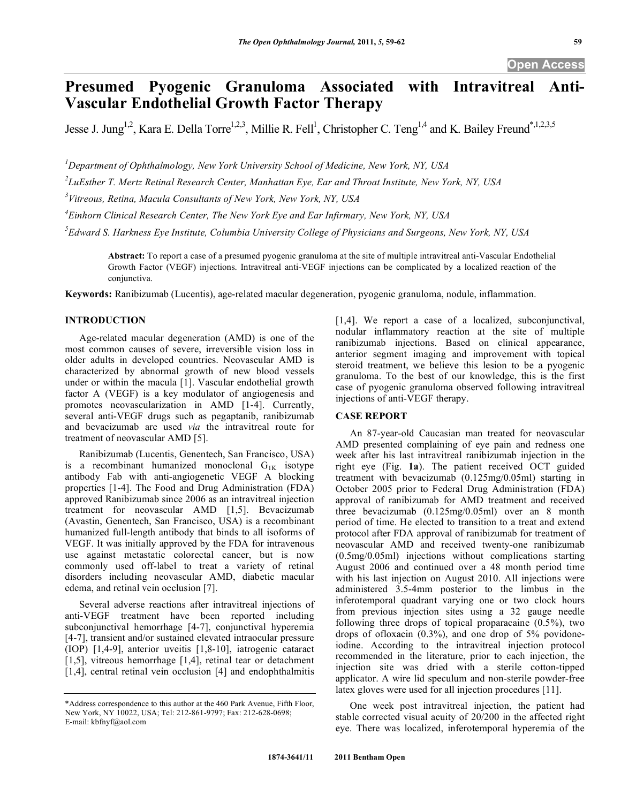# **Presumed Pyogenic Granuloma Associated with Intravitreal Anti-Vascular Endothelial Growth Factor Therapy**

Jesse J. Jung<sup>1,2</sup>, Kara E. Della Torre<sup>1,2,3</sup>, Millie R. Fell<sup>1</sup>, Christopher C. Teng<sup>1,4</sup> and K. Bailey Freund<sup>\*,1,2,3,5</sup>

*1 Department of Ophthalmology, New York University School of Medicine, New York, NY, USA* 

*2 LuEsther T. Mertz Retinal Research Center, Manhattan Eye, Ear and Throat Institute, New York, NY, USA* 

*3 Vitreous, Retina, Macula Consultants of New York, New York, NY, USA* 

*4 Einhorn Clinical Research Center, The New York Eye and Ear Infirmary, New York, NY, USA* 

*5 Edward S. Harkness Eye Institute, Columbia University College of Physicians and Surgeons, New York, NY, USA* 

**Abstract:** To report a case of a presumed pyogenic granuloma at the site of multiple intravitreal anti-Vascular Endothelial Growth Factor (VEGF) injections. Intravitreal anti-VEGF injections can be complicated by a localized reaction of the conjunctiva.

**Keywords:** Ranibizumab (Lucentis), age-related macular degeneration, pyogenic granuloma, nodule, inflammation.

### **INTRODUCTION**

 Age-related macular degeneration (AMD) is one of the most common causes of severe, irreversible vision loss in older adults in developed countries. Neovascular AMD is characterized by abnormal growth of new blood vessels under or within the macula [1]. Vascular endothelial growth factor A (VEGF) is a key modulator of angiogenesis and promotes neovascularization in AMD [1-4]. Currently, several anti-VEGF drugs such as pegaptanib, ranibizumab and bevacizumab are used *via* the intravitreal route for treatment of neovascular AMD [5].

 Ranibizumab (Lucentis, Genentech, San Francisco, USA) is a recombinant humanized monoclonal  $G_{1K}$  isotype antibody Fab with anti-angiogenetic VEGF A blocking properties [1-4]. The Food and Drug Administration (FDA) approved Ranibizumab since 2006 as an intravitreal injection treatment for neovascular AMD [1,5]. Bevacizumab (Avastin, Genentech, San Francisco, USA) is a recombinant humanized full-length antibody that binds to all isoforms of VEGF. It was initially approved by the FDA for intravenous use against metastatic colorectal cancer, but is now commonly used off-label to treat a variety of retinal disorders including neovascular AMD, diabetic macular edema, and retinal vein occlusion [7].

 Several adverse reactions after intravitreal injections of anti-VEGF treatment have been reported including subconjunctival hemorrhage [4-7], conjunctival hyperemia [4-7], transient and/or sustained elevated intraocular pressure (IOP) [1,4-9], anterior uveitis [1,8-10], iatrogenic cataract [1,5], vitreous hemorrhage [1,4], retinal tear or detachment [1,4], central retinal vein occlusion [4] and endophthalmitis [1,4]. We report a case of a localized, subconjunctival, nodular inflammatory reaction at the site of multiple ranibizumab injections. Based on clinical appearance, anterior segment imaging and improvement with topical steroid treatment, we believe this lesion to be a pyogenic granuloma. To the best of our knowledge, this is the first case of pyogenic granuloma observed following intravitreal injections of anti-VEGF therapy.

# **CASE REPORT**

 An 87-year-old Caucasian man treated for neovascular AMD presented complaining of eye pain and redness one week after his last intravitreal ranibizumab injection in the right eye (Fig. **1a**). The patient received OCT guided treatment with bevacizumab (0.125mg/0.05ml) starting in October 2005 prior to Federal Drug Administration (FDA) approval of ranibizumab for AMD treatment and received three bevacizumab (0.125mg/0.05ml) over an 8 month period of time. He elected to transition to a treat and extend protocol after FDA approval of ranibizumab for treatment of neovascular AMD and received twenty-one ranibizumab (0.5mg/0.05ml) injections without complications starting August 2006 and continued over a 48 month period time with his last injection on August 2010. All injections were administered 3.5-4mm posterior to the limbus in the inferotemporal quadrant varying one or two clock hours from previous injection sites using a 32 gauge needle following three drops of topical proparacaine (0.5%), two drops of ofloxacin (0.3%), and one drop of 5% povidoneiodine. According to the intravitreal injection protocol recommended in the literature, prior to each injection, the injection site was dried with a sterile cotton-tipped applicator. A wire lid speculum and non-sterile powder-free latex gloves were used for all injection procedures [11].

 One week post intravitreal injection, the patient had stable corrected visual acuity of 20/200 in the affected right eye. There was localized, inferotemporal hyperemia of the

<sup>\*</sup>Address correspondence to this author at the 460 Park Avenue, Fifth Floor, New York, NY 10022, USA; Tel: 212-861-9797; Fax: 212-628-0698; E-mail: kbfnyf@aol.com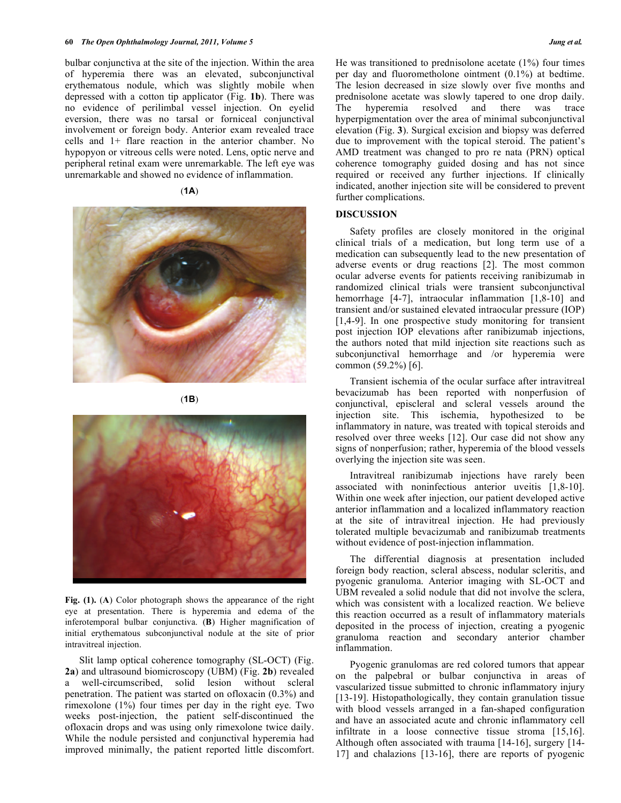bulbar conjunctiva at the site of the injection. Within the area of hyperemia there was an elevated, subconjunctival erythematous nodule, which was slightly mobile when depressed with a cotton tip applicator (Fig. **1b**). There was no evidence of perilimbal vessel injection. On eyelid eversion, there was no tarsal or forniceal conjunctival involvement or foreign body. Anterior exam revealed trace cells and 1+ flare reaction in the anterior chamber. No hypopyon or vitreous cells were noted. Lens, optic nerve and peripheral retinal exam were unremarkable. The left eye was unremarkable and showed no evidence of inflammation.

#### (**1A**)



(**1B**)

**Fig. (1).** (**A**) Color photograph shows the appearance of the right eye at presentation. There is hyperemia and edema of the inferotemporal bulbar conjunctiva. (**B**) Higher magnification of initial erythematous subconjunctival nodule at the site of prior intravitreal injection.

 Slit lamp optical coherence tomography (SL-OCT) (Fig. **2a**) and ultrasound biomicroscopy (UBM) (Fig. **2b**) revealed a well-circumscribed, solid lesion without scleral penetration. The patient was started on ofloxacin (0.3%) and rimexolone (1%) four times per day in the right eye. Two weeks post-injection, the patient self-discontinued the ofloxacin drops and was using only rimexolone twice daily. While the nodule persisted and conjunctival hyperemia had improved minimally, the patient reported little discomfort. He was transitioned to prednisolone acetate (1%) four times per day and fluorometholone ointment (0.1%) at bedtime. The lesion decreased in size slowly over five months and prednisolone acetate was slowly tapered to one drop daily. The hyperemia resolved and there was trace hyperpigmentation over the area of minimal subconjunctival elevation (Fig. **3**). Surgical excision and biopsy was deferred due to improvement with the topical steroid. The patient's AMD treatment was changed to pro re nata (PRN) optical coherence tomography guided dosing and has not since required or received any further injections. If clinically indicated, another injection site will be considered to prevent further complications.

#### **DISCUSSION**

 Safety profiles are closely monitored in the original clinical trials of a medication, but long term use of a medication can subsequently lead to the new presentation of adverse events or drug reactions [2]. The most common ocular adverse events for patients receiving ranibizumab in randomized clinical trials were transient subconjunctival hemorrhage [4-7], intraocular inflammation [1,8-10] and transient and/or sustained elevated intraocular pressure (IOP) [1,4-9]. In one prospective study monitoring for transient post injection IOP elevations after ranibizumab injections, the authors noted that mild injection site reactions such as subconjunctival hemorrhage and /or hyperemia were common (59.2%) [6].

 Transient ischemia of the ocular surface after intravitreal bevacizumab has been reported with nonperfusion of conjunctival, episcleral and scleral vessels around the injection site. This ischemia, hypothesized to be inflammatory in nature, was treated with topical steroids and resolved over three weeks [12]. Our case did not show any signs of nonperfusion; rather, hyperemia of the blood vessels overlying the injection site was seen.

 Intravitreal ranibizumab injections have rarely been associated with noninfectious anterior uveitis [1,8-10]. Within one week after injection, our patient developed active anterior inflammation and a localized inflammatory reaction at the site of intravitreal injection. He had previously tolerated multiple bevacizumab and ranibizumab treatments without evidence of post-injection inflammation.

 The differential diagnosis at presentation included foreign body reaction, scleral abscess, nodular scleritis, and pyogenic granuloma. Anterior imaging with SL-OCT and UBM revealed a solid nodule that did not involve the sclera, which was consistent with a localized reaction. We believe this reaction occurred as a result of inflammatory materials deposited in the process of injection, creating a pyogenic granuloma reaction and secondary anterior chamber inflammation.

 Pyogenic granulomas are red colored tumors that appear on the palpebral or bulbar conjunctiva in areas of vascularized tissue submitted to chronic inflammatory injury [13-19]. Histopathologically, they contain granulation tissue with blood vessels arranged in a fan-shaped configuration and have an associated acute and chronic inflammatory cell infiltrate in a loose connective tissue stroma [15,16]. Although often associated with trauma [14-16], surgery [14- 17] and chalazions [13-16], there are reports of pyogenic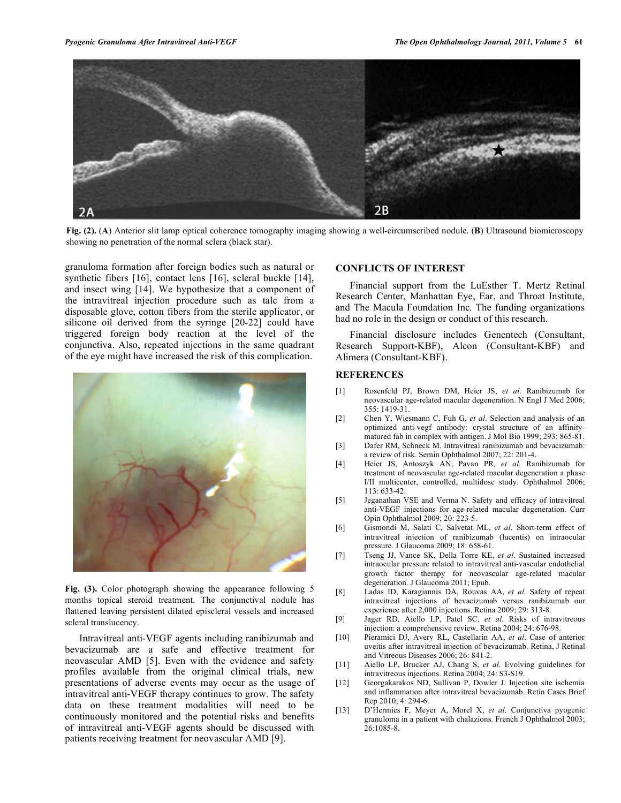

**Fig. (2).** (**A**) Anterior slit lamp optical coherence tomography imaging showing a well-circumscribed nodule. (**B**) Ultrasound biomicroscopy showing no penetration of the normal sclera (black star).

granuloma formation after foreign bodies such as natural or synthetic fibers [16], contact lens [16], scleral buckle [14], and insect wing [14]. We hypothesize that a component of the intravitreal injection procedure such as talc from a disposable glove, cotton fibers from the sterile applicator, or silicone oil derived from the syringe [20-22] could have triggered foreign body reaction at the level of the conjunctiva. Also, repeated injections in the same quadrant of the eye might have increased the risk of this complication.



Fig. (3). Color photograph showing the appearance following 5 months topical steroid treatment. The conjunctival nodule has flattened leaving persistent dilated episcleral vessels and increased scleral translucency.

 Intravitreal anti-VEGF agents including ranibizumab and bevacizumab are a safe and effective treatment for neovascular AMD [5]. Even with the evidence and safety profiles available from the original clinical trials, new presentations of adverse events may occur as the usage of intravitreal anti-VEGF therapy continues to grow. The safety data on these treatment modalities will need to be continuously monitored and the potential risks and benefits of intravitreal anti-VEGF agents should be discussed with patients receiving treatment for neovascular AMD [9].

## **CONFLICTS OF INTEREST**

 Financial support from the LuEsther T. Mertz Retinal Research Center, Manhattan Eye, Ear, and Throat Institute, and The Macula Foundation Inc*.* The funding organizations had no role in the design or conduct of this research.

 Financial disclosure includes Genentech (Consultant, Research Support-KBF), Alcon (Consultant-KBF) and Alimera (Consultant-KBF).

#### **REFERENCES**

- [1] Rosenfeld PJ, Brown DM, Heier JS, *et al*. Ranibizumab for neovascular age-related macular degeneration. N Engl J Med 2006; 355: 1419-31.
- [2] Chen Y, Wiesmann C, Fuh G, *et al*. Selection and analysis of an optimized anti-vegf antibody: crystal structure of an affinitymatured fab in complex with antigen. J Mol Bio 1999; 293: 865-81.
- [3] Dafer RM, Schneck M. Intravitreal ranibizumab and bevacizumab: a review of risk. Semin Ophthalmol 2007; 22: 201-4.
- [4] Heier JS, Antoszyk AN, Pavan PR, *et al*. Ranibizumab for treatment of neovascular age-related macular degeneration a phase I/II multicenter, controlled, multidose study. Ophthalmol 2006; 113: 633-42.
- [5] Jeganathan VSE and Verma N. Safety and efficacy of intravitreal anti-VEGF injections for age-related macular degeneration. Curr Opin Ophthalmol 2009; 20: 223-5.
- [6] Gismondi M, Salati C, Salvetat ML, *et al*. Short-term effect of intravitreal injection of ranibizumab (lucentis) on intraocular pressure. J Glaucoma 2009; 18: 658-61.
- [7] Tseng JJ, Vance SK, Della Torre KE, *et al*. Sustained increased intraocular pressure related to intravitreal anti-vascular endothelial growth factor therapy for neovascular age-related macular degeneration. J Glaucoma 2011; Epub.
- [8] Ladas ID, Karagiannis DA, Rouvas AA, *et al*. Safety of repeat intravitreal injections of bevacizumab versus ranibizumab our experience after 2,000 injections. Retina 2009; 29: 313-8.
- [9] Jager RD, Aiello LP, Patel SC, *et al*. Risks of intravitreous injection: a comprehensive review. Retina 2004; 24: 676-98.
- [10] Pieramici DJ, Avery RL, Castellarin AA, *et al*. Case of anterior uveitis after intravitreal injection of bevacizumab. Retina, J Retinal and Vitreous Diseases 2006; 26: 841-2.
- [11] Aiello LP, Brucker AJ, Chang S, *et al*. Evolving guidelines for intravitreous injections. Retina 2004; 24: S3-S19.
- [12] Georgakarakos ND, Sullivan P, Dowler J. Injection site ischemia and inflammation after intravitreal bevacizumab. Retin Cases Brief Rep 2010; 4: 294-6.
- [13] D'Hermies F, Meyer A, Morel X, *et al*. Conjunctiva pyogenic granuloma in a patient with chalazions. French J Ophthalmol 2003; 26:1085-8.